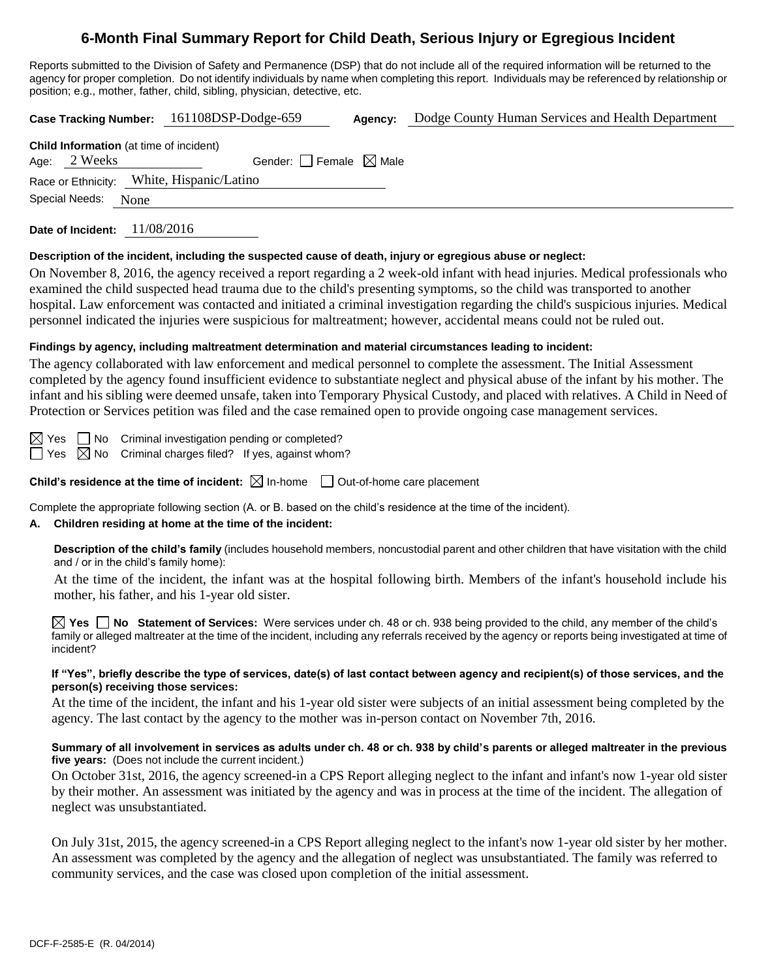# **6-Month Final Summary Report for Child Death, Serious Injury or Egregious Incident**

Reports submitted to the Division of Safety and Permanence (DSP) that do not include all of the required information will be returned to the agency for proper completion. Do not identify individuals by name when completing this report. Individuals may be referenced by relationship or position; e.g., mother, father, child, sibling, physician, detective, etc.

**Case Tracking Number:** 161108DSP-Dodge-659 **Agency:** Dodge County Human Services and Health Department **Child Information** (at time of incident) Age:  $2$  Weeks Gender: Female  $\boxtimes$  Male Race or Ethnicity: White, Hispanic/Latino Special Needs: None

**Date of Incident:** 11/08/2016

#### **Description of the incident, including the suspected cause of death, injury or egregious abuse or neglect:**

On November 8, 2016, the agency received a report regarding a 2 week-old infant with head injuries. Medical professionals who examined the child suspected head trauma due to the child's presenting symptoms, so the child was transported to another hospital. Law enforcement was contacted and initiated a criminal investigation regarding the child's suspicious injuries. Medical personnel indicated the injuries were suspicious for maltreatment; however, accidental means could not be ruled out.

# **Findings by agency, including maltreatment determination and material circumstances leading to incident:**

The agency collaborated with law enforcement and medical personnel to complete the assessment. The Initial Assessment completed by the agency found insufficient evidence to substantiate neglect and physical abuse of the infant by his mother. The infant and his sibling were deemed unsafe, taken into Temporary Physical Custody, and placed with relatives. A Child in Need of Protection or Services petition was filed and the case remained open to provide ongoing case management services.

 $\boxtimes$  Yes  $\Box$  No Criminal investigation pending or completed?  $\Box$  Yes  $\boxtimes$  No Criminal charges filed? If yes, against whom?

**Child's residence at the time of incident:**  $\boxtimes$  In-home  $\Box$  Out-of-home care placement

Complete the appropriate following section (A. or B. based on the child's residence at the time of the incident).

# **A. Children residing at home at the time of the incident:**

**Description of the child's family** (includes household members, noncustodial parent and other children that have visitation with the child and / or in the child's family home):

At the time of the incident, the infant was at the hospital following birth. Members of the infant's household include his mother, his father, and his 1-year old sister.

**Yes No Statement of Services:** Were services under ch. 48 or ch. 938 being provided to the child, any member of the child's family or alleged maltreater at the time of the incident, including any referrals received by the agency or reports being investigated at time of incident?

#### **If "Yes", briefly describe the type of services, date(s) of last contact between agency and recipient(s) of those services, and the person(s) receiving those services:**

At the time of the incident, the infant and his 1-year old sister were subjects of an initial assessment being completed by the agency. The last contact by the agency to the mother was in-person contact on November 7th, 2016.

#### **Summary of all involvement in services as adults under ch. 48 or ch. 938 by child's parents or alleged maltreater in the previous five years:** (Does not include the current incident.)

On October 31st, 2016, the agency screened-in a CPS Report alleging neglect to the infant and infant's now 1-year old sister by their mother. An assessment was initiated by the agency and was in process at the time of the incident. The allegation of neglect was unsubstantiated.

On July 31st, 2015, the agency screened-in a CPS Report alleging neglect to the infant's now 1-year old sister by her mother. An assessment was completed by the agency and the allegation of neglect was unsubstantiated. The family was referred to community services, and the case was closed upon completion of the initial assessment.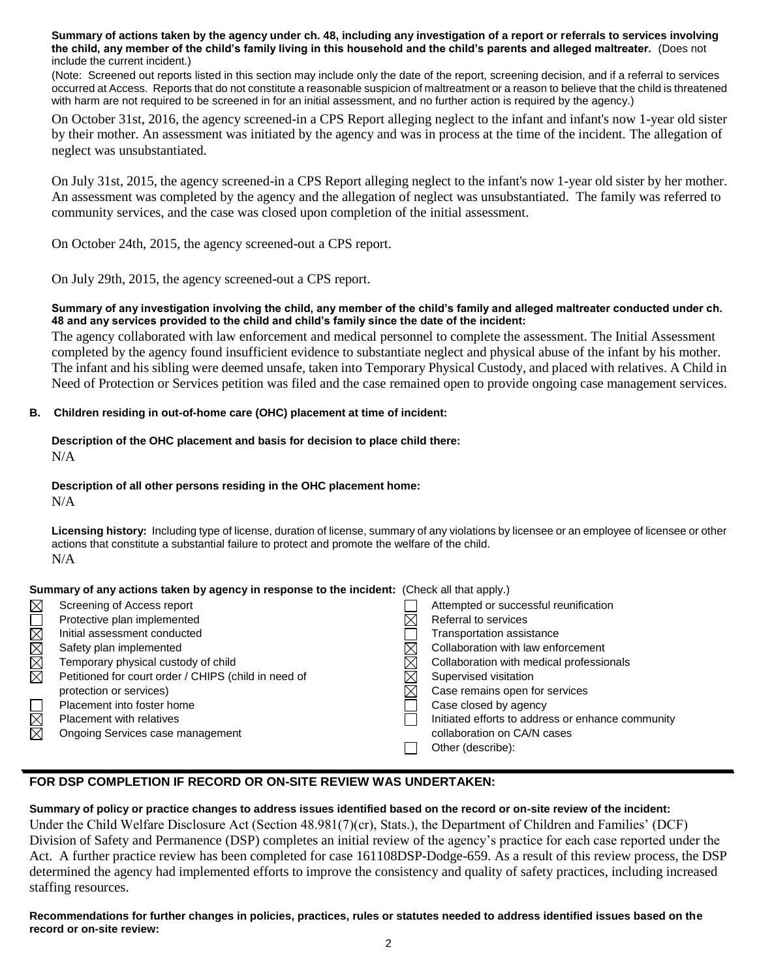**Summary of actions taken by the agency under ch. 48, including any investigation of a report or referrals to services involving the child, any member of the child's family living in this household and the child's parents and alleged maltreater.** (Does not include the current incident.)

(Note: Screened out reports listed in this section may include only the date of the report, screening decision, and if a referral to services occurred at Access. Reports that do not constitute a reasonable suspicion of maltreatment or a reason to believe that the child is threatened with harm are not required to be screened in for an initial assessment, and no further action is required by the agency.)

On October 31st, 2016, the agency screened-in a CPS Report alleging neglect to the infant and infant's now 1-year old sister by their mother. An assessment was initiated by the agency and was in process at the time of the incident. The allegation of neglect was unsubstantiated.

On July 31st, 2015, the agency screened-in a CPS Report alleging neglect to the infant's now 1-year old sister by her mother. An assessment was completed by the agency and the allegation of neglect was unsubstantiated. The family was referred to community services, and the case was closed upon completion of the initial assessment.

On October 24th, 2015, the agency screened-out a CPS report.

On July 29th, 2015, the agency screened-out a CPS report.

#### **Summary of any investigation involving the child, any member of the child's family and alleged maltreater conducted under ch. 48 and any services provided to the child and child's family since the date of the incident:**

The agency collaborated with law enforcement and medical personnel to complete the assessment. The Initial Assessment completed by the agency found insufficient evidence to substantiate neglect and physical abuse of the infant by his mother. The infant and his sibling were deemed unsafe, taken into Temporary Physical Custody, and placed with relatives. A Child in Need of Protection or Services petition was filed and the case remained open to provide ongoing case management services.

## **B. Children residing in out-of-home care (OHC) placement at time of incident:**

# **Description of the OHC placement and basis for decision to place child there:** N/A

# **Description of all other persons residing in the OHC placement home:**

N/A

staffing resources.

**Licensing history:** Including type of license, duration of license, summary of any violations by licensee or an employee of licensee or other actions that constitute a substantial failure to protect and promote the welfare of the child. N/A

## **Summary of any actions taken by agency in response to the incident:** (Check all that apply.)

| $\boxtimes$    | Screening of Access report                           | Attempted or successful reunification             |
|----------------|------------------------------------------------------|---------------------------------------------------|
| $\mathbb{R}^n$ | Protective plan implemented                          | Referral to services                              |
| $\boxtimes$    | Initial assessment conducted                         | Transportation assistance                         |
| $\boxtimes$    | Safety plan implemented                              | Collaboration with law enforcement                |
| $\boxtimes$    | Temporary physical custody of child                  | Collaboration with medical professionals          |
| $\boxtimes$    | Petitioned for court order / CHIPS (child in need of | Supervised visitation                             |
|                | protection or services)                              | Case remains open for services                    |
|                | Placement into foster home                           | Case closed by agency                             |
| $\boxtimes$    | Placement with relatives                             | Initiated efforts to address or enhance community |
| $\boxtimes$    | Ongoing Services case management                     | collaboration on CA/N cases                       |
|                |                                                      | Other (describe):                                 |
|                |                                                      |                                                   |

# **FOR DSP COMPLETION IF RECORD OR ON-SITE REVIEW WAS UNDERTAKEN:**

**Summary of policy or practice changes to address issues identified based on the record or on-site review of the incident:** Under the Child Welfare Disclosure Act (Section 48.981(7)(cr), Stats.), the Department of Children and Families' (DCF) Division of Safety and Permanence (DSP) completes an initial review of the agency's practice for each case reported under the Act. A further practice review has been completed for case 161108DSP-Dodge-659. As a result of this review process, the DSP determined the agency had implemented efforts to improve the consistency and quality of safety practices, including increased

**Recommendations for further changes in policies, practices, rules or statutes needed to address identified issues based on the record or on-site review:**